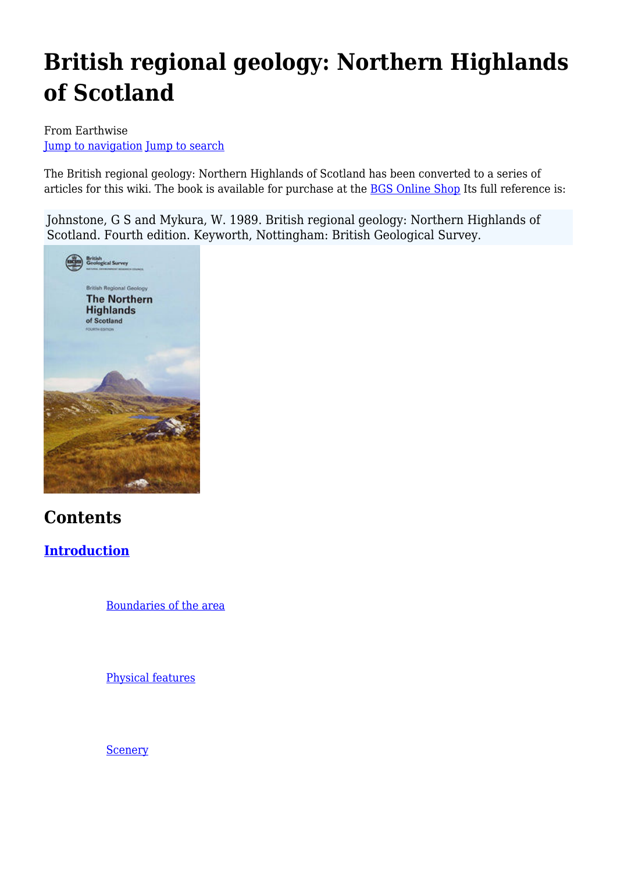# **British regional geology: Northern Highlands of Scotland**

#### From Earthwise [Jump to navigation](#page--1-0) [Jump to search](#page--1-0)

The British regional geology: Northern Highlands of Scotland has been converted to a series of articles for this wiki. The book is available for purchase at the [BGS Online Shop](http://shop.bgs.ac.uk/Bookshop/product.cfm?p_id=BRG02A) Its full reference is:

Johnstone, G S and Mykura, W. 1989. British regional geology: Northern Highlands of Scotland. Fourth edition. Keyworth, Nottingham: British Geological Survey.



## **Contents**

## **[Introduction](http://earthwise.bgs.ac.uk/index.php/Introduction_to_the_Northern_Highlands_of_Scotland)**

[Boundaries of the area](http://earthwise.bgs.ac.uk/index.php/Introduction_to_the_Northern_Highlands_of_Scotland#Boundaries_of_the_area)

[Physical features](http://earthwise.bgs.ac.uk/index.php/Introduction_to_the_Northern_Highlands_of_Scotland#Physical_features)

**[Scenery](http://earthwise.bgs.ac.uk/index.php/Introduction_to_the_Northern_Highlands_of_Scotland#Scenery)**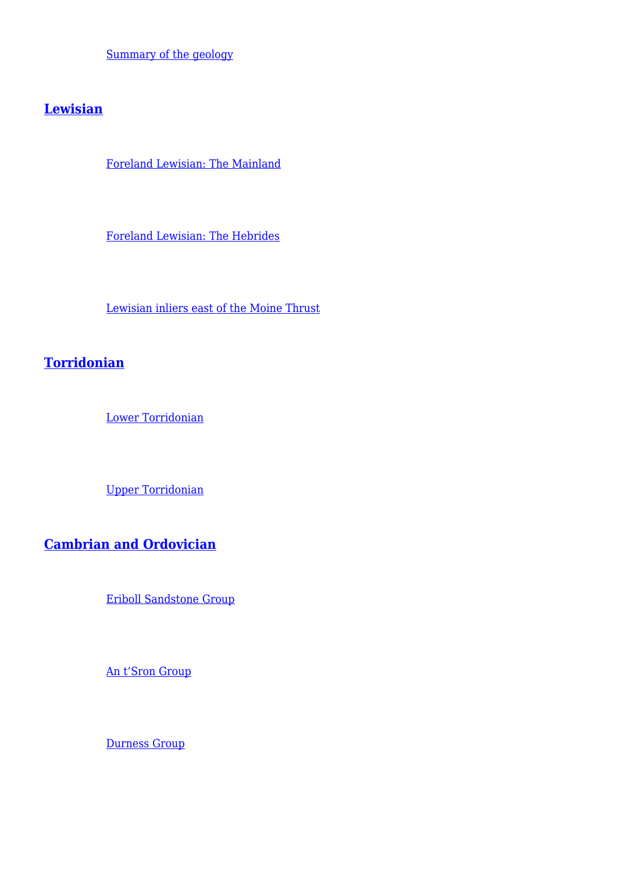[Summary of the geology](http://earthwise.bgs.ac.uk/index.php/Summary_of_the_geology,_Northern_Highlands_of_Scotland#Summary_of_the_geology)

### **[Lewisian](http://earthwise.bgs.ac.uk/index.php/Lewisian,_Northern_Highlands_of_Scotland)**

[Foreland Lewisian: The Mainland](http://earthwise.bgs.ac.uk/index.php/Foreland_Lewisian,_the_mainland,_Northern_Highlands_of_Scotland)

[Foreland Lewisian: The Hebrides](http://earthwise.bgs.ac.uk/index.php/Foreland_Lewisian,_the_Hebrides,_Northern_Highlands_of_Scotland)

[Lewisian inliers east of the Moine Thrust](http://earthwise.bgs.ac.uk/index.php/Lewisian_inliers_east_of_the_Moine_Thrust,_Northern_Highlands_of_Scotland)

## **[Torridonian](http://earthwise.bgs.ac.uk/index.php/Torridonian,_Northern_Highlands_of_Scotland)**

[Lower Torridonian](http://earthwise.bgs.ac.uk/index.php/Torridonian,_Northern_Highlands_of_Scotland#Lower_Torridonian)

[Upper Torridonian](http://earthwise.bgs.ac.uk/index.php/Torridonian,_Northern_Highlands_of_Scotland#Upper_Torridonian)

**[Cambrian and Ordovician](http://earthwise.bgs.ac.uk/index.php/Cambrian_and_Ordovician,_Northern_Highlands_of_Scotland)**

[Eriboll Sandstone Group](http://earthwise.bgs.ac.uk/index.php/Cambrian_and_Ordovician,_Northern_Highlands_of_Scotland#Eriboll_Sandstone_Group)

[An t'Sron Group](http://earthwise.bgs.ac.uk/index.php/Cambrian_and_Ordovician,_Northern_Highlands_of_Scotland#An_t.E2.80.99Sron_Group)

[Durness Group](http://earthwise.bgs.ac.uk/index.php/Cambrian_and_Ordovician,_Northern_Highlands_of_Scotland#Durness_Group)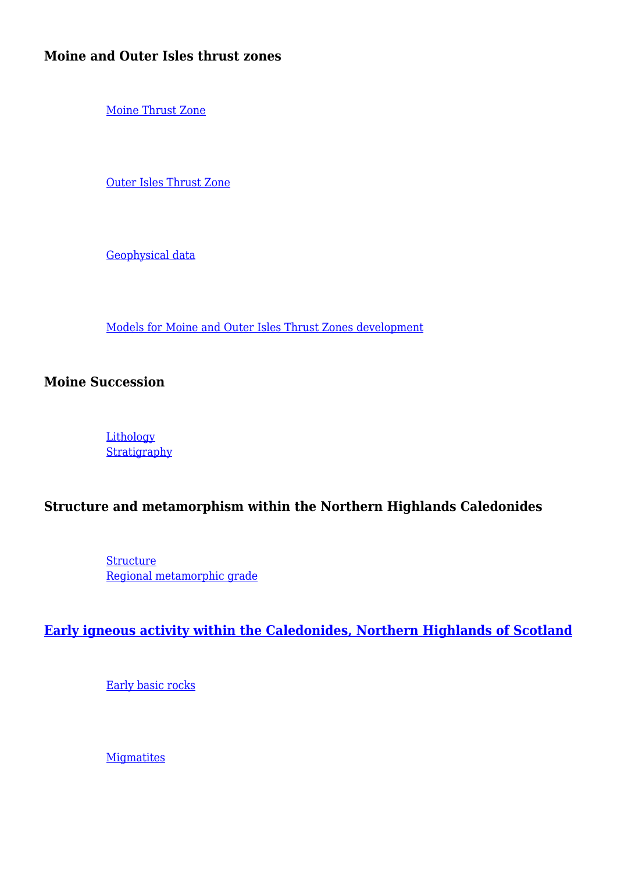#### **Moine and Outer Isles thrust zones**

[Moine Thrust Zone](http://earthwise.bgs.ac.uk/index.php/Moine_Thrust_Zone,_Northern_Highlands_of_Scotland)

[Outer Isles Thrust Zone](http://earthwise.bgs.ac.uk/index.php/Outer_Isles_Thrust_Zone,_Northern_Highlands_of_Scotland)

[Geophysical data](http://earthwise.bgs.ac.uk/index.php/Geophysical_data,_Moine_and_Outer_Isles_thrust_zones,_Northern_Highlands_of_Scotland)

[Models for Moine and Outer Isles Thrust Zones development](http://earthwise.bgs.ac.uk/index.php/Models_for_Moine_and_Outer_Isles_Thrust_Zones_development,_Northern_Highlands_of_Scotland)

**Moine Succession**

**[Lithology](http://earthwise.bgs.ac.uk/index.php/Moine_Succession,_introduction_and_lithology,_Northern_Highlands_of_Scotland#Lithology) [Stratigraphy](http://earthwise.bgs.ac.uk/index.php/Moine_Succession,_stratigraphy,_Northern_Highlands_of_Scotland)** 

#### **Structure and metamorphism within the Northern Highlands Caledonides**

**[Structure](http://earthwise.bgs.ac.uk/index.php/Structure_within_the_Northern_Highlands_Caledonides)** [Regional metamorphic grade](http://earthwise.bgs.ac.uk/index.php/Regional_metamorphic_grade_within_the_Northern_Highlands_Caledonides)

#### **[Early igneous activity within the Caledonides, Northern Highlands of Scotland](http://earthwise.bgs.ac.uk/index.php/Early_igneous_activity_within_the_Caledonides,_Northern_Highlands_of_Scotland)**

[Early basic rocks](http://earthwise.bgs.ac.uk/index.php/Early_basic_rocks_within_the_Caledonides,_Northern_Highlands_of_Scotland)

**[Migmatites](http://earthwise.bgs.ac.uk/index.php/Migmatites,_early_igneous_activity_within_the_Caledonides,_Northern_Highlands_of_Scotland)**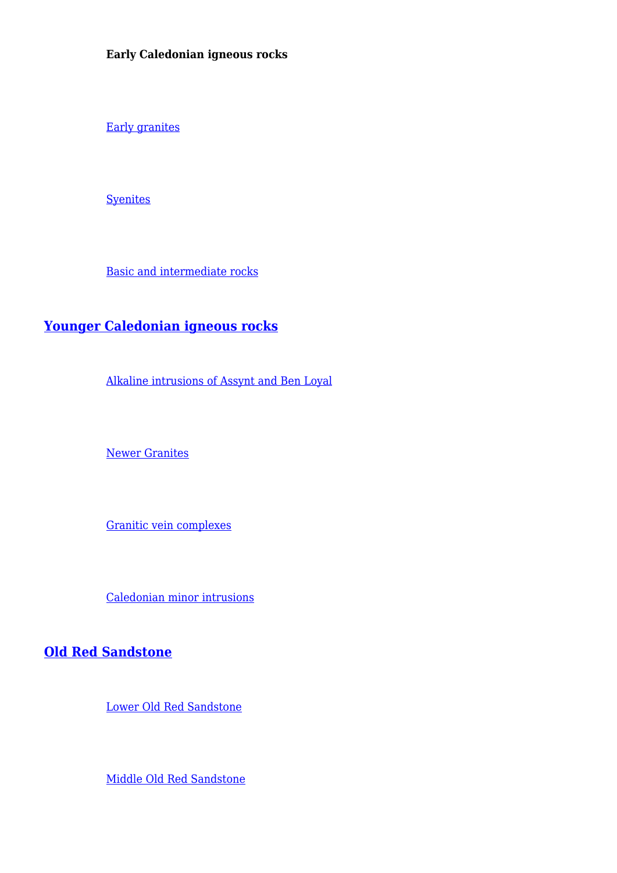**Early Caledonian igneous rocks**

[Early granites](http://earthwise.bgs.ac.uk/index.php/Early_granites_within_the_Caledonides,_Northern_Highlands_of_Scotland)

**[Syenites](http://earthwise.bgs.ac.uk/index.php/Early_syenites_within_the_Caledonides,_Northern_Highlands_of_Scotland)** 

[Basic and intermediate rocks](http://earthwise.bgs.ac.uk/index.php/Early_basic_and_intermediate_rocks_within_the_Caledonides,_Northern_Highlands_of_Scotland)

## **[Younger Caledonian igneous rocks](http://earthwise.bgs.ac.uk/index.php/Younger_Caledonian_igneous_rocks_of_the_Northern_Highlands_of_Scotland)**

[Alkaline intrusions of Assynt and Ben Loyal](http://earthwise.bgs.ac.uk/index.php/Alkaline_Intrusions_of_Assynt_and_Ben_Loyal,_Younger_Caledonian_igneous_rocks,_Northern_Highlands_of_Scotland)

[Newer Granites](http://earthwise.bgs.ac.uk/index.php/Newer_Granites,_Younger_Caledonian_igneous_rocks,_Northern_Highlands_of_Scotland)

[Granitic vein complexes](http://earthwise.bgs.ac.uk/index.php/Granitic_vein_complexes,_Younger_Caledonian_igneous_rocks,_Northern_Highlands_of_Scotland)

[Caledonian minor intrusions](http://earthwise.bgs.ac.uk/index.php/Caledonian_minor_intrusions,_Younger_Caledonian_igneous_rocks,_Northern_Highlands_of_Scotland)

#### **[Old Red Sandstone](http://earthwise.bgs.ac.uk/index.php/Old_Red_Sandstone,_Northern_Highlands_of_Scotland)**

[Lower Old Red Sandstone](http://earthwise.bgs.ac.uk/index.php/Lower_Old_Red_Sandstone,_Northern_Highlands_of_Scotland)

[Middle Old Red Sandstone](http://earthwise.bgs.ac.uk/index.php/Middle_Old_Red_Sandstone,_Northern_Highlands_of_Scotland)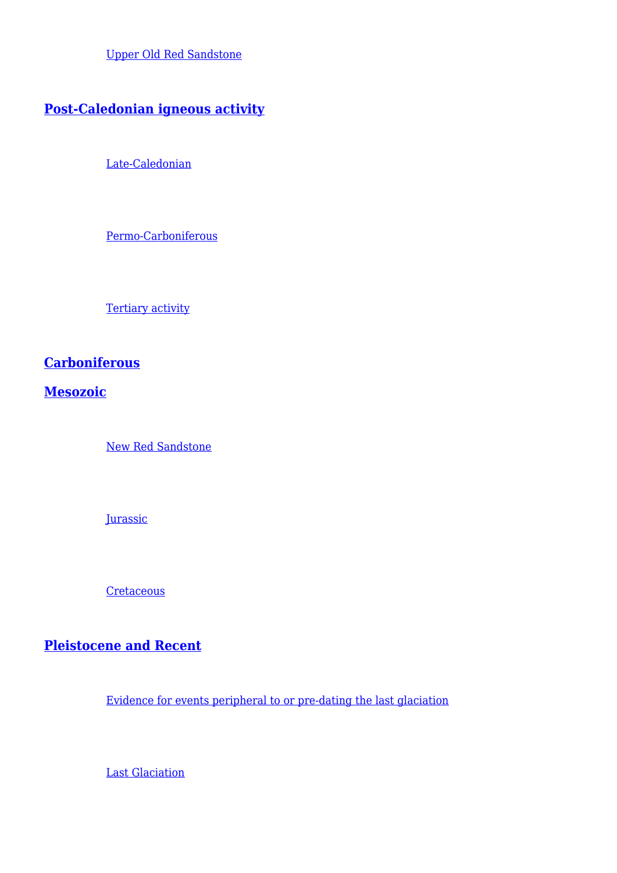[Upper Old Red Sandstone](http://earthwise.bgs.ac.uk/index.php/Upper_Old_Red_Sandstone,_Northern_Highlands_of_Scotland)

## **[Post-Caledonian igneous activity](http://earthwise.bgs.ac.uk/index.php/Post-Caledonian_igneous_activity,_Northern_Highlands_of_Scotland)**

[Late-Caledonian](http://earthwise.bgs.ac.uk/index.php/Post-Caledonian_igneous_activity,_Northern_Highlands_of_Scotland#Late-Caledonian)

[Permo-Carboniferous](http://earthwise.bgs.ac.uk/index.php/Post-Caledonian_igneous_activity,_Northern_Highlands_of_Scotland#Permo-Carboniferous)

[Tertiary activity](http://earthwise.bgs.ac.uk/index.php/Post-Caledonian_igneous_activity,_Northern_Highlands_of_Scotland#Tertiary_activity)

## **[Carboniferous](http://earthwise.bgs.ac.uk/index.php/Carboniferous,_Northern_Highlands_of_Scotland)**

**[Mesozoic](http://earthwise.bgs.ac.uk/index.php/Mesozoic,_introduction,_Northern_Highlands_of_Scotland)**

[New Red Sandstone](http://earthwise.bgs.ac.uk/index.php/New_Red_Sandstone,_Northern_Highlands_of_Scotland)

**[Jurassic](http://earthwise.bgs.ac.uk/index.php/Jurassic,_Northern_Highlands_of_Scotland)** 

**[Cretaceous](http://earthwise.bgs.ac.uk/index.php/Cretaceous,_Northern_Highlands_of_Scotland)** 

## **[Pleistocene and Recent](http://earthwise.bgs.ac.uk/index.php/Pleistocene_and_Recent,_Northern_Highlands_of_Scotland)**

[Evidence for events peripheral to or pre-dating the last glaciation](http://earthwise.bgs.ac.uk/index.php/Pleistocene_and_Recent,_Northern_Highlands_of_Scotland#Evidence_for_events_peripheral_to_or_pre-dating_the_last_glaciation)

[Last Glaciation](http://earthwise.bgs.ac.uk/index.php/Pleistocene_and_Recent,_Northern_Highlands_of_Scotland#Last_Glaciation)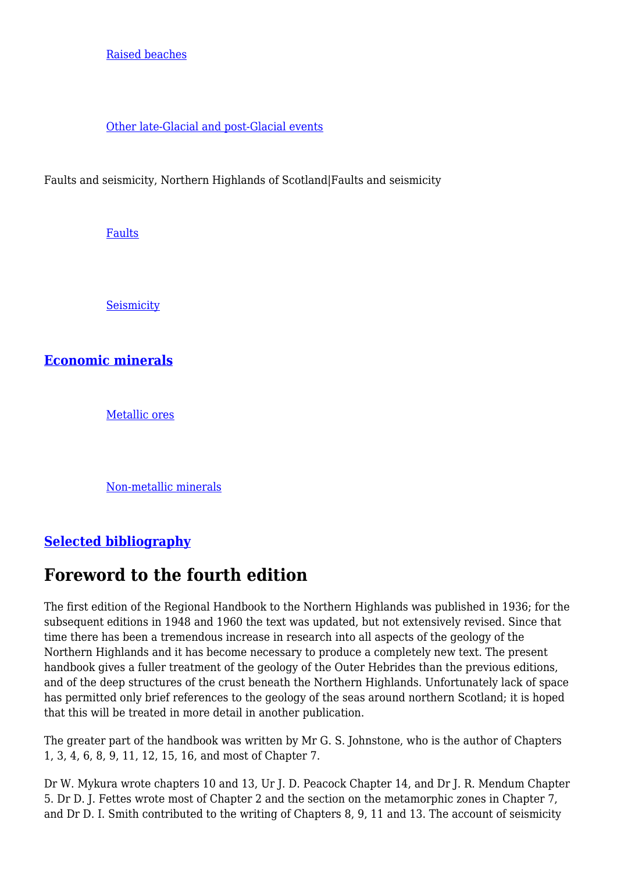#### [Raised beaches](http://earthwise.bgs.ac.uk/index.php/Raised_beaches,_Pleistocene_and_Recent,_Northern_Highlands_of_Scotland)

#### [Other late-Glacial and post-Glacial events](http://earthwise.bgs.ac.uk/index.php/Pleistocene_and_Recent,_Northern_Highlands_of_Scotland#Other_late-Glacial_and_post-Glacial_events)

Faults and seismicity, Northern Highlands of Scotland|Faults and seismicity

[Faults](http://earthwise.bgs.ac.uk/index.php/Faults,_Northern_Highlands_of_Scotland)

**[Seismicity](http://earthwise.bgs.ac.uk/index.php/Seismicity,_Northern_Highlands_of_Scotland)** 

**[Economic minerals](http://earthwise.bgs.ac.uk/index.php/Geology_and_man,_Northern_Highlands_of_Scotland)**

[Metallic ores](http://earthwise.bgs.ac.uk/index.php/Metallic_ores,_Geology_and_man,_Northern_Highlands_of_Scotland)

[Non-metallic minerals](http://earthwise.bgs.ac.uk/index.php/Non-metallic_minerals,_Geology_and_man,_Northern_Highlands_of_Scotland)

## **[Selected bibliography](http://earthwise.bgs.ac.uk/index.php/Selected_bibliography,_Northern_Highlands_of_Scotland)**

## **Foreword to the fourth edition**

The first edition of the Regional Handbook to the Northern Highlands was published in 1936; for the subsequent editions in 1948 and 1960 the text was updated, but not extensively revised. Since that time there has been a tremendous increase in research into all aspects of the geology of the Northern Highlands and it has become necessary to produce a completely new text. The present handbook gives a fuller treatment of the geology of the Outer Hebrides than the previous editions, and of the deep structures of the crust beneath the Northern Highlands. Unfortunately lack of space has permitted only brief references to the geology of the seas around northern Scotland; it is hoped that this will be treated in more detail in another publication.

The greater part of the handbook was written by Mr G. S. Johnstone, who is the author of Chapters 1, 3, 4, 6, 8, 9, 11, 12, 15, 16, and most of Chapter 7.

Dr W. Mykura wrote chapters 10 and 13, Ur J. D. Peacock Chapter 14, and Dr J. R. Mendum Chapter 5. Dr D. J. Fettes wrote most of Chapter 2 and the section on the metamorphic zones in Chapter 7, and Dr D. I. Smith contributed to the writing of Chapters 8, 9, 11 and 13. The account of seismicity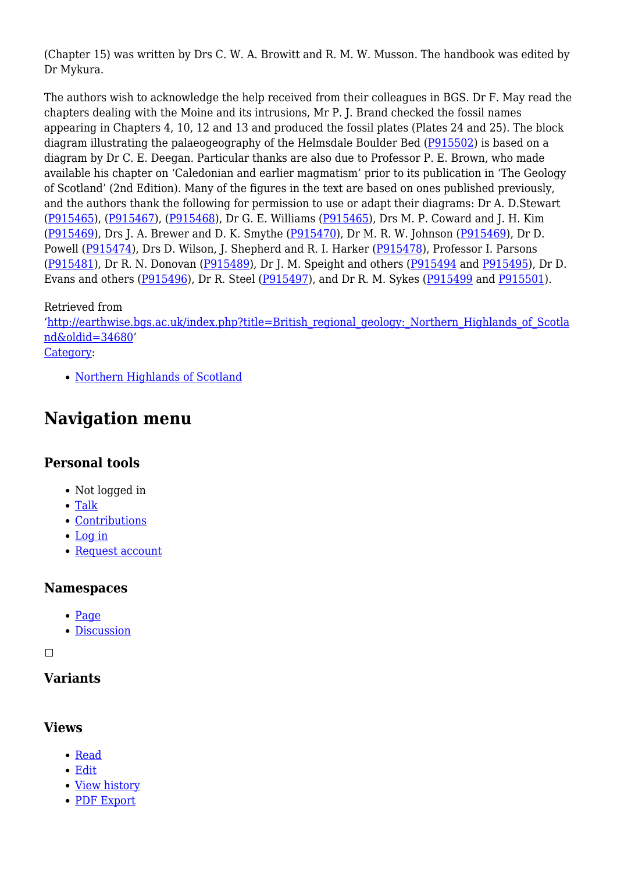(Chapter 15) was written by Drs C. W. A. Browitt and R. M. W. Musson. The handbook was edited by Dr Mykura.

The authors wish to acknowledge the help received from their colleagues in BGS. Dr F. May read the chapters dealing with the Moine and its intrusions, Mr P. J. Brand checked the fossil names appearing in Chapters 4, 10, 12 and 13 and produced the fossil plates (Plates 24 and 25). The block diagram illustrating the palaeogeography of the Helmsdale Boulder Bed ([P915502](http://earthwise.bgs.ac.uk/images/b/b7/P915502.jpg)) is based on a diagram by Dr C. E. Deegan. Particular thanks are also due to Professor P. E. Brown, who made available his chapter on 'Caledonian and earlier magmatism' prior to its publication in 'The Geology of Scotland' (2nd Edition). Many of the figures in the text are based on ones published previously, and the authors thank the following for permission to use or adapt their diagrams: Dr A. D.Stewart [\(P915465\)](http://earthwise.bgs.ac.uk/images/a/a7/P915465.jpg), ([P915467](http://earthwise.bgs.ac.uk/images/1/1e/P915467.jpg)), [\(P915468\)](http://earthwise.bgs.ac.uk/images/b/ba/P915468.jpg), Dr G. E. Williams ([P915465\)](http://earthwise.bgs.ac.uk/images/a/a7/P915465.jpg), Drs M. P. Coward and J. H. Kim [\(P915469\)](http://earthwise.bgs.ac.uk/images/3/3e/P915469.jpg), Drs J. A. Brewer and D. K. Smythe [\(P915470\)](http://earthwise.bgs.ac.uk/images/d/d6/P915470.jpg), Dr M. R. W. Johnson [\(P915469\)](http://earthwise.bgs.ac.uk/images/3/3e/P915469.jpg), Dr D. Powell ([P915474](http://earthwise.bgs.ac.uk/images/b/b7/P915474.jpg)), Drs D. Wilson, J. Shepherd and R. I. Harker [\(P915478\)](http://earthwise.bgs.ac.uk/images/6/69/P915478.jpg), Professor I. Parsons [\(P915481\)](http://earthwise.bgs.ac.uk/images/3/36/P915481.jpg), Dr R. N. Donovan ([P915489\)](http://earthwise.bgs.ac.uk/images/d/da/P915489.jpg), Dr J. M. Speight and others [\(P915494](http://earthwise.bgs.ac.uk/images/f/fd/P915494.jpg) and [P915495\)](http://earthwise.bgs.ac.uk/images/f/f5/P915495.jpg), Dr D. Evans and others ([P915496\)](http://earthwise.bgs.ac.uk/images/e/ef/P915496.jpg), Dr R. Steel [\(P915497\)](http://earthwise.bgs.ac.uk/images/a/a1/P915497.jpg), and Dr R. M. Sykes ([P915499](http://earthwise.bgs.ac.uk/images/c/cc/P915499.jpg) and [P915501\)](http://earthwise.bgs.ac.uk/images/8/85/P915501.jpg).

#### Retrieved from

'[http://earthwise.bgs.ac.uk/index.php?title=British\\_regional\\_geology:\\_Northern\\_Highlands\\_of\\_Scotla](http://earthwise.bgs.ac.uk/index.php?title=British_regional_geology:_Northern_Highlands_of_Scotland&oldid=34680) [nd&oldid=34680'](http://earthwise.bgs.ac.uk/index.php?title=British_regional_geology:_Northern_Highlands_of_Scotland&oldid=34680) [Category](http://earthwise.bgs.ac.uk/index.php/Special:Categories):

• [Northern Highlands of Scotland](http://earthwise.bgs.ac.uk/index.php/Category:Northern_Highlands_of_Scotland)

## **Navigation menu**

#### **Personal tools**

- Not logged in
- [Talk](http://earthwise.bgs.ac.uk/index.php/Special:MyTalk)
- [Contributions](http://earthwise.bgs.ac.uk/index.php/Special:MyContributions)
- [Log in](http://earthwise.bgs.ac.uk/index.php?title=Special:UserLogin&returnto=British+regional+geology%3A+Northern+Highlands+of+Scotland&returntoquery=action%3Dmpdf)
- [Request account](http://earthwise.bgs.ac.uk/index.php/Special:RequestAccount)

#### **Namespaces**

- [Page](http://earthwise.bgs.ac.uk/index.php/British_regional_geology:_Northern_Highlands_of_Scotland)
- [Discussion](http://earthwise.bgs.ac.uk/index.php?title=Talk:British_regional_geology:_Northern_Highlands_of_Scotland&action=edit&redlink=1)

 $\overline{\phantom{a}}$ 

## **Variants**

#### **Views**

- [Read](http://earthwise.bgs.ac.uk/index.php/British_regional_geology:_Northern_Highlands_of_Scotland)
- [Edit](http://earthwise.bgs.ac.uk/index.php?title=British_regional_geology:_Northern_Highlands_of_Scotland&action=edit)
- [View history](http://earthwise.bgs.ac.uk/index.php?title=British_regional_geology:_Northern_Highlands_of_Scotland&action=history)
- [PDF Export](http://earthwise.bgs.ac.uk/index.php?title=British_regional_geology:_Northern_Highlands_of_Scotland&action=mpdf)